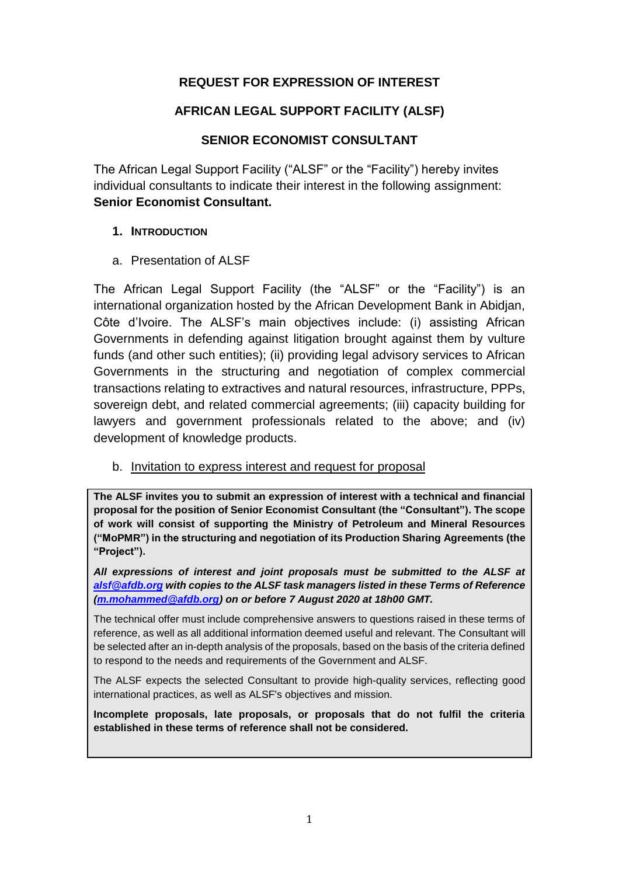### **REQUEST FOR EXPRESSION OF INTEREST**

#### **AFRICAN LEGAL SUPPORT FACILITY (ALSF)**

### **SENIOR ECONOMIST CONSULTANT**

The African Legal Support Facility ("ALSF" or the "Facility") hereby invites individual consultants to indicate their interest in the following assignment: **Senior Economist Consultant.**

#### **1. INTRODUCTION**

a. Presentation of ALSF

The African Legal Support Facility (the "ALSF" or the "Facility") is an international organization hosted by the African Development Bank in Abidjan, Côte d'Ivoire. The ALSF's main objectives include: (i) assisting African Governments in defending against litigation brought against them by vulture funds (and other such entities); (ii) providing legal advisory services to African Governments in the structuring and negotiation of complex commercial transactions relating to extractives and natural resources, infrastructure, PPPs, sovereign debt, and related commercial agreements; (iii) capacity building for lawyers and government professionals related to the above; and (iv) development of knowledge products.

b. Invitation to express interest and request for proposal

**The ALSF invites you to submit an expression of interest with a technical and financial proposal for the position of Senior Economist Consultant (the "Consultant"). The scope of work will consist of supporting the Ministry of Petroleum and Mineral Resources ("MoPMR") in the structuring and negotiation of its Production Sharing Agreements (the "Project").**

*All expressions of interest and joint proposals must be submitted to the ALSF at [alsf@afdb.org](mailto:alsf@afdb.org) with copies to the ALSF task managers listed in these Terms of Reference [\(m.mohammed@afdb.org\)](mailto:m.mohammed@afdb.org) on or before 7 August 2020 at 18h00 GMT.*

The technical offer must include comprehensive answers to questions raised in these terms of reference, as well as all additional information deemed useful and relevant. The Consultant will be selected after an in-depth analysis of the proposals, based on the basis of the criteria defined to respond to the needs and requirements of the Government and ALSF.

The ALSF expects the selected Consultant to provide high-quality services, reflecting good international practices, as well as ALSF's objectives and mission.

**Incomplete proposals, late proposals, or proposals that do not fulfil the criteria established in these terms of reference shall not be considered.**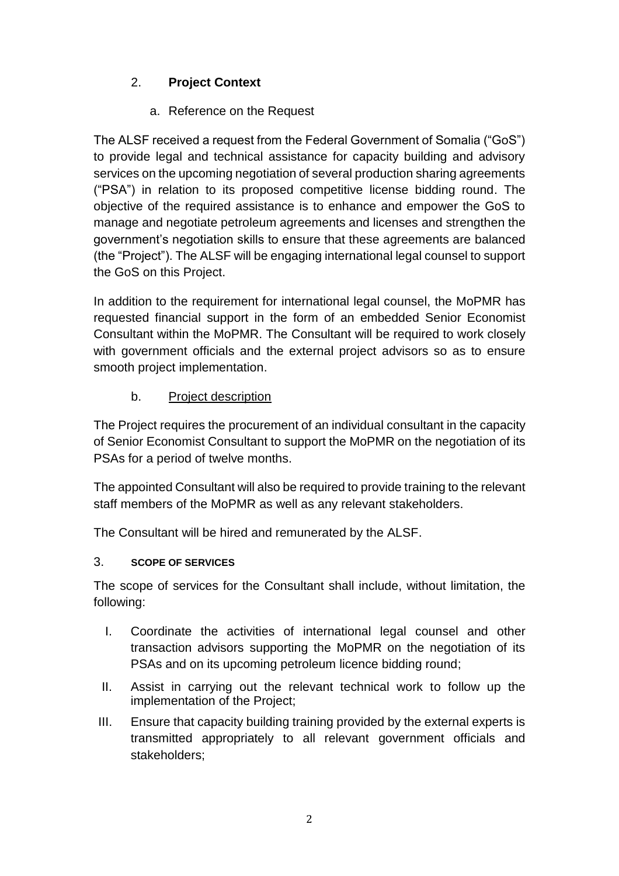# 2. **Project Context**

a. Reference on the Request

The ALSF received a request from the Federal Government of Somalia ("GoS") to provide legal and technical assistance for capacity building and advisory services on the upcoming negotiation of several production sharing agreements ("PSA") in relation to its proposed competitive license bidding round. The objective of the required assistance is to enhance and empower the GoS to manage and negotiate petroleum agreements and licenses and strengthen the government's negotiation skills to ensure that these agreements are balanced (the "Project"). The ALSF will be engaging international legal counsel to support the GoS on this Project.

In addition to the requirement for international legal counsel, the MoPMR has requested financial support in the form of an embedded Senior Economist Consultant within the MoPMR. The Consultant will be required to work closely with government officials and the external project advisors so as to ensure smooth project implementation.

b. Project description

The Project requires the procurement of an individual consultant in the capacity of Senior Economist Consultant to support the MoPMR on the negotiation of its PSAs for a period of twelve months.

The appointed Consultant will also be required to provide training to the relevant staff members of the MoPMR as well as any relevant stakeholders.

The Consultant will be hired and remunerated by the ALSF.

## 3. **SCOPE OF SERVICES**

The scope of services for the Consultant shall include, without limitation, the following:

- I. Coordinate the activities of international legal counsel and other transaction advisors supporting the MoPMR on the negotiation of its PSAs and on its upcoming petroleum licence bidding round;
- II. Assist in carrying out the relevant technical work to follow up the implementation of the Project;
- III. Ensure that capacity building training provided by the external experts is transmitted appropriately to all relevant government officials and stakeholders;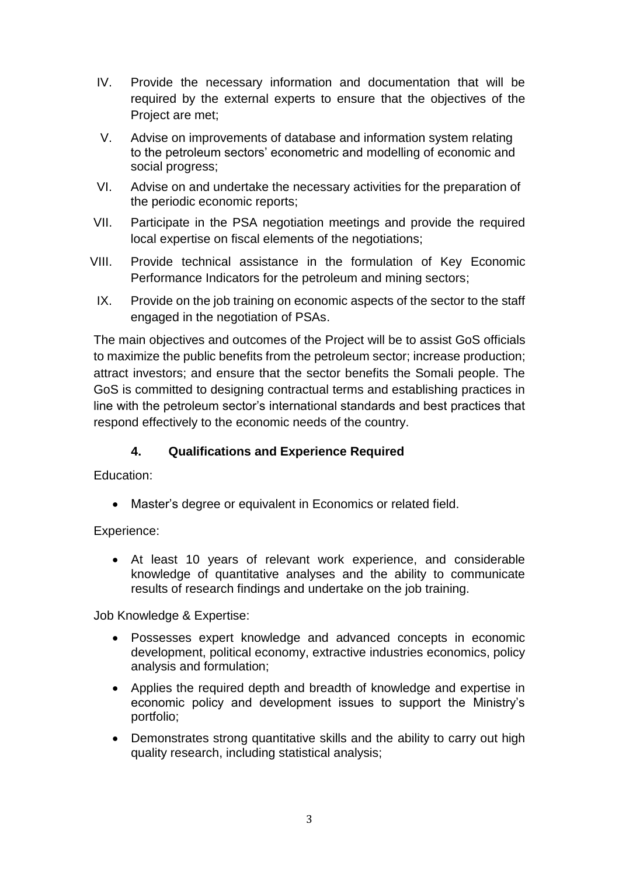- IV. Provide the necessary information and documentation that will be required by the external experts to ensure that the objectives of the Project are met;
- V. Advise on improvements of database and information system relating to the petroleum sectors' econometric and modelling of economic and social progress;
- VI. Advise on and undertake the necessary activities for the preparation of the periodic economic reports;
- VII. Participate in the PSA negotiation meetings and provide the required local expertise on fiscal elements of the negotiations;
- VIII. Provide technical assistance in the formulation of Key Economic Performance Indicators for the petroleum and mining sectors;
- IX. Provide on the job training on economic aspects of the sector to the staff engaged in the negotiation of PSAs.

The main objectives and outcomes of the Project will be to assist GoS officials to maximize the public benefits from the petroleum sector; increase production; attract investors; and ensure that the sector benefits the Somali people. The GoS is committed to designing contractual terms and establishing practices in line with the petroleum sector's international standards and best practices that respond effectively to the economic needs of the country.

## **4. Qualifications and Experience Required**

Education:

Master's degree or equivalent in Economics or related field.

Experience:

 At least 10 years of relevant work experience, and considerable knowledge of quantitative analyses and the ability to communicate results of research findings and undertake on the job training.

Job Knowledge & Expertise:

- Possesses expert knowledge and advanced concepts in economic development, political economy, extractive industries economics, policy analysis and formulation;
- Applies the required depth and breadth of knowledge and expertise in economic policy and development issues to support the Ministry's portfolio;
- Demonstrates strong quantitative skills and the ability to carry out high quality research, including statistical analysis;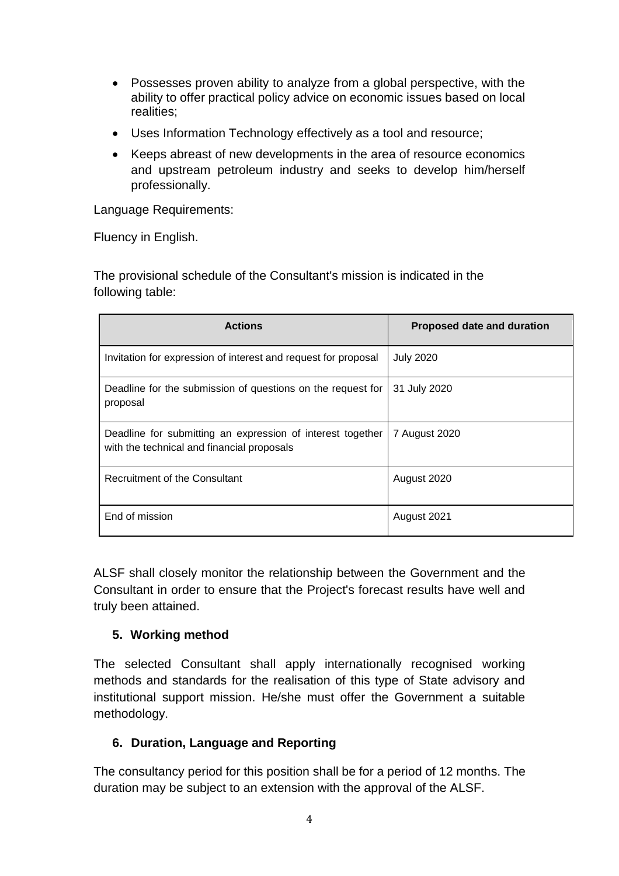- Possesses proven ability to analyze from a global perspective, with the ability to offer practical policy advice on economic issues based on local realities;
- Uses Information Technology effectively as a tool and resource;
- Keeps abreast of new developments in the area of resource economics and upstream petroleum industry and seeks to develop him/herself professionally.

Language Requirements:

Fluency in English.

The provisional schedule of the Consultant's mission is indicated in the following table:

| <b>Actions</b>                                                                                           | Proposed date and duration |
|----------------------------------------------------------------------------------------------------------|----------------------------|
| Invitation for expression of interest and request for proposal                                           | <b>July 2020</b>           |
| Deadline for the submission of questions on the request for<br>proposal                                  | 31 July 2020               |
| Deadline for submitting an expression of interest together<br>with the technical and financial proposals | 7 August 2020              |
| <b>Recruitment of the Consultant</b>                                                                     | August 2020                |
| End of mission                                                                                           | August 2021                |

ALSF shall closely monitor the relationship between the Government and the Consultant in order to ensure that the Project's forecast results have well and truly been attained.

#### **5. Working method**

The selected Consultant shall apply internationally recognised working methods and standards for the realisation of this type of State advisory and institutional support mission. He/she must offer the Government a suitable methodology.

#### **6. Duration, Language and Reporting**

The consultancy period for this position shall be for a period of 12 months. The duration may be subject to an extension with the approval of the ALSF.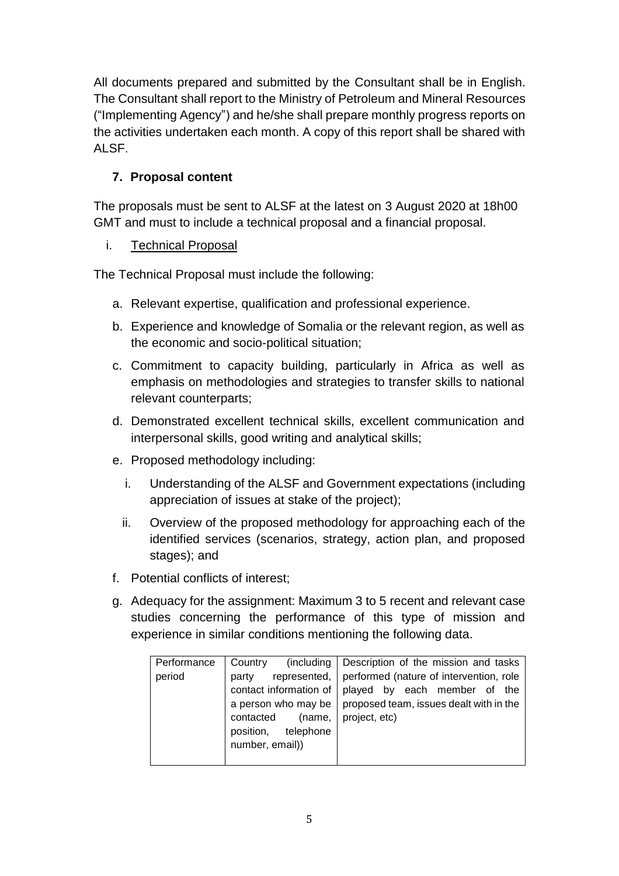All documents prepared and submitted by the Consultant shall be in English. The Consultant shall report to the Ministry of Petroleum and Mineral Resources ("Implementing Agency") and he/she shall prepare monthly progress reports on the activities undertaken each month. A copy of this report shall be shared with ALSF.

# **7. Proposal content**

The proposals must be sent to ALSF at the latest on 3 August 2020 at 18h00 GMT and must to include a technical proposal and a financial proposal.

## i. Technical Proposal

The Technical Proposal must include the following:

- a. Relevant expertise, qualification and professional experience.
- b. Experience and knowledge of Somalia or the relevant region, as well as the economic and socio-political situation;
- c. Commitment to capacity building, particularly in Africa as well as emphasis on methodologies and strategies to transfer skills to national relevant counterparts;
- d. Demonstrated excellent technical skills, excellent communication and interpersonal skills, good writing and analytical skills;
- e. Proposed methodology including:
	- i. Understanding of the ALSF and Government expectations (including appreciation of issues at stake of the project);
	- ii. Overview of the proposed methodology for approaching each of the identified services (scenarios, strategy, action plan, and proposed stages); and
- f. Potential conflicts of interest;
- g. Adequacy for the assignment: Maximum 3 to 5 recent and relevant case studies concerning the performance of this type of mission and experience in similar conditions mentioning the following data.

|             | (including                     |                                         |
|-------------|--------------------------------|-----------------------------------------|
| Performance | Country                        | Description of the mission and tasks    |
| period      | represented,<br>party          | performed (nature of intervention, role |
|             | contact information of $\vert$ | played by each member of the            |
|             | a person who may be            | proposed team, issues dealt with in the |
|             | contacted<br>(name,            | project, etc)                           |
|             | position, telephone            |                                         |
|             | number, email))                |                                         |
|             |                                |                                         |